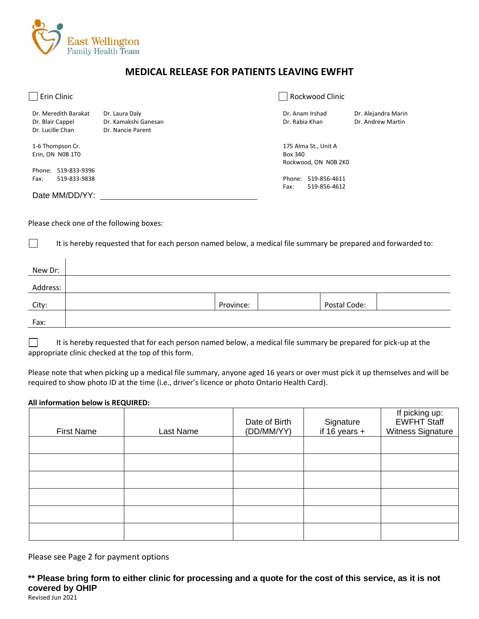

## **MEDICAL RELEASE FOR PATIENTS LEAVING EWFHT**

| Erin Clinic                          |                                        | Rockwood Clinic        |                                          |
|--------------------------------------|----------------------------------------|------------------------|------------------------------------------|
| Dr. Meredith Barakat                 | Dr. Laura Daly<br>Dr. Kamakshi Ganesan | Dr. Anam Irshad        | Dr. Alejandra Marin<br>Dr. Andrew Martin |
| Dr. Blair Cappel<br>Dr. Lucille Chan | Dr. Nancie Parent                      | Dr. Rabia Khan         |                                          |
| 1-6 Thompson Cr.                     |                                        | 175 Alma St., Unit A   |                                          |
| Erin, ON N0B 1T0                     |                                        | Box 340                |                                          |
|                                      |                                        | Rockwood, ON N0B 2K0   |                                          |
| 519-833-9396<br>Phone:               |                                        |                        |                                          |
| 519-833-9838<br>Fax:                 |                                        | 519-856-4611<br>Phone: |                                          |
|                                      |                                        | 519-856-4612<br>Fax:   |                                          |
| Date MM/DD/YY:                       |                                        |                        |                                          |

Please check one of the following boxes:

 $\Box$ 

It is hereby requested that for each person named below, a medical file summary be prepared and forwarded to:

| New Dr:  |           |              |
|----------|-----------|--------------|
| Address: |           |              |
| City:    | Province: | Postal Code: |
| Fax:     |           |              |

It is hereby requested that for each person named below, a medical file summary be prepared for pick-up at the  $\mathbf{L}$ appropriate clinic checked at the top of this form.

Please note that when picking up a medical file summary, anyone aged 16 years or over must pick it up themselves and will be required to show photo ID at the time (i.e., driver's licence or photo Ontario Health Card).

## **All information below is REQUIRED:**

| <b>First Name</b> | Last Name | Date of Birth<br>(DD/MM/YY) | Signature<br>if 16 years + | If picking up:<br><b>EWFHT Staff</b><br>Witness Signature |
|-------------------|-----------|-----------------------------|----------------------------|-----------------------------------------------------------|
|                   |           |                             |                            |                                                           |
|                   |           |                             |                            |                                                           |
|                   |           |                             |                            |                                                           |
|                   |           |                             |                            |                                                           |
|                   |           |                             |                            |                                                           |
|                   |           |                             |                            |                                                           |

Please see Page 2 for payment options

**\*\* Please bring form to either clinic for processing and a quote for the cost of this service, as it is not covered by OHIP**

Revised Jun 2021